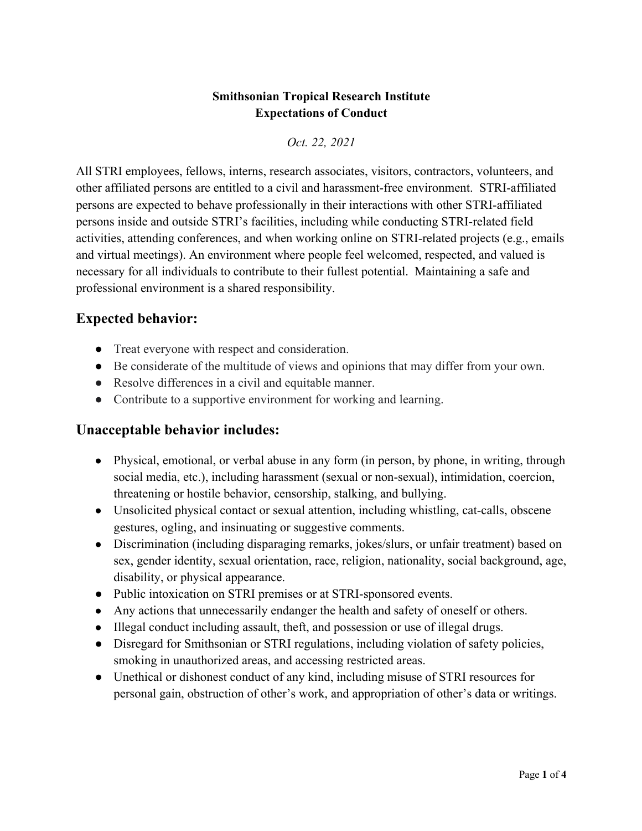### **Smithsonian Tropical Research Institute Expectations of Conduct**

*Oct. 22, 2021*

All STRI employees, fellows, interns, research associates, visitors, contractors, volunteers, and other affiliated persons are entitled to a civil and harassment-free environment. STRI-affiliated persons are expected to behave professionally in their interactions with other STRI-affiliated persons inside and outside STRI's facilities, including while conducting STRI-related field activities, attending conferences, and when working online on STRI-related projects (e.g., emails and virtual meetings). An environment where people feel welcomed, respected, and valued is necessary for all individuals to contribute to their fullest potential. Maintaining a safe and professional environment is a shared responsibility.

# **Expected behavior:**

- Treat everyone with respect and consideration.
- Be considerate of the multitude of views and opinions that may differ from your own.
- Resolve differences in a civil and equitable manner.
- Contribute to a supportive environment for working and learning.

## **Unacceptable behavior includes:**

- Physical, emotional, or verbal abuse in any form (in person, by phone, in writing, through social media, etc.), including harassment (sexual or non-sexual), intimidation, coercion, threatening or hostile behavior, censorship, stalking, and bullying.
- Unsolicited physical contact or sexual attention, including whistling, cat-calls, obscene gestures, ogling, and insinuating or suggestive comments.
- Discrimination (including disparaging remarks, jokes/slurs, or unfair treatment) based on sex, gender identity, sexual orientation, race, religion, nationality, social background, age, disability, or physical appearance.
- Public intoxication on STRI premises or at STRI-sponsored events.
- Any actions that unnecessarily endanger the health and safety of oneself or others.
- Illegal conduct including assault, theft, and possession or use of illegal drugs.
- Disregard for Smithsonian or STRI regulations, including violation of safety policies, smoking in unauthorized areas, and accessing restricted areas.
- Unethical or dishonest conduct of any kind, including misuse of STRI resources for personal gain, obstruction of other's work, and appropriation of other's data or writings.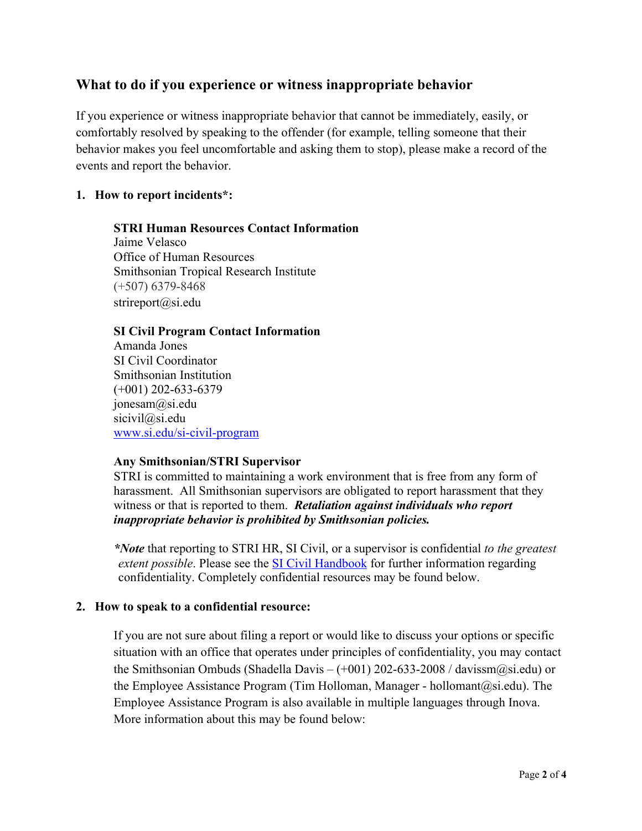### **What to do if you experience or witness inappropriate behavior**

If you experience or witness inappropriate behavior that cannot be immediately, easily, or comfortably resolved by speaking to the offender (for example, telling someone that their behavior makes you feel uncomfortable and asking them to stop), please make a record of the events and report the behavior.

#### **1. How to report incidents\*:**

### **STRI Human Resources Contact Information**

Jaime Velasco Office of Human Resources Smithsonian Tropical Research Institute (+507) 6379-8468 strireport $(a)$ si.edu

#### **SI Civil Program Contact Information**

Amanda Jones SI Civil Coordinator Smithsonian Institution (+001) 202-633-6379 jonesam@si.edu sicivil@si.edu www.si.edu/si-civil-program

#### **Any Smithsonian/STRI Supervisor**

STRI is committed to maintaining a work environment that is free from any form of harassment. All Smithsonian supervisors are obligated to report harassment that they witness or that is reported to them. *Retaliation against individuals who report inappropriate behavior is prohibited by Smithsonian policies.*

*\*Note* that reporting to STRI HR, SI Civil, or a supervisor is confidential *to the greatest extent possible*. Please see the SI Civil Handbook for further information regarding confidentiality. Completely confidential resources may be found below.

#### **2. How to speak to a confidential resource:**

If you are not sure about filing a report or would like to discuss your options or specific situation with an office that operates under principles of confidentiality, you may contact the Smithsonian Ombuds (Shadella Davis – (+001) 202-633-2008 / davissm@si.edu) or the Employee Assistance Program (Tim Holloman, Manager - hollomant@si.edu). The Employee Assistance Program is also available in multiple languages through Inova. More information about this may be found below: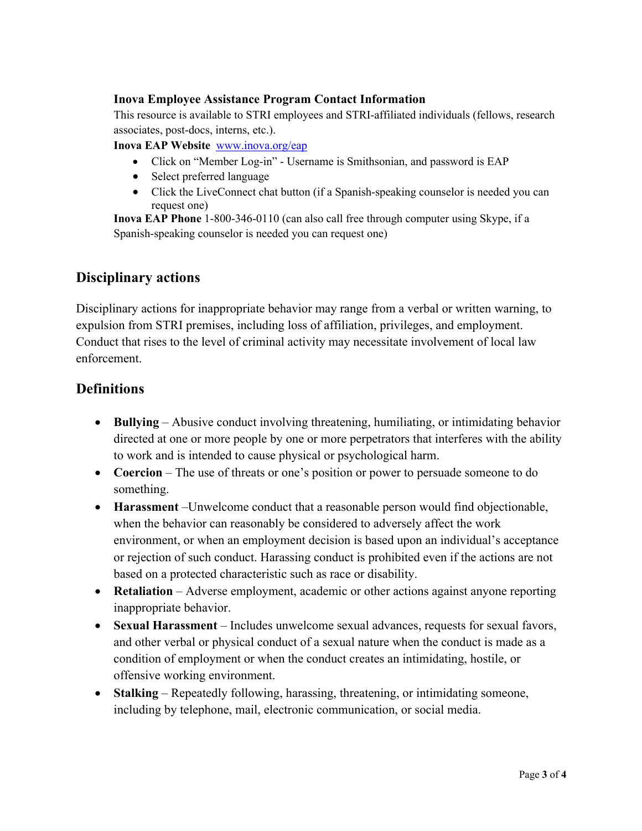#### **Inova Employee Assistance Program Contact Information**

This resource is available to STRI employees and STRI-affiliated individuals (fellows, research associates, post-docs, interns, etc.).

**Inova EAP Website** www.inova.org/eap

- Click on "Member Log-in" Username is Smithsonian, and password is EAP
- Select preferred language
- Click the LiveConnect chat button (if a Spanish-speaking counselor is needed you can request one)

**Inova EAP Phone** 1-800-346-0110 (can also call free through computer using Skype, if a Spanish-speaking counselor is needed you can request one)

### **Disciplinary actions**

Disciplinary actions for inappropriate behavior may range from a verbal or written warning, to expulsion from STRI premises, including loss of affiliation, privileges, and employment. Conduct that rises to the level of criminal activity may necessitate involvement of local law enforcement.

## **Definitions**

- **Bullying**  Abusive conduct involving threatening, humiliating, or intimidating behavior directed at one or more people by one or more perpetrators that interferes with the ability to work and is intended to cause physical or psychological harm.
- **Coercion** The use of threats or one's position or power to persuade someone to do something.
- **Harassment** –Unwelcome conduct that a reasonable person would find objectionable, when the behavior can reasonably be considered to adversely affect the work environment, or when an employment decision is based upon an individual's acceptance or rejection of such conduct. Harassing conduct is prohibited even if the actions are not based on a protected characteristic such as race or disability.
- **Retaliation** Adverse employment, academic or other actions against anyone reporting inappropriate behavior.
- **Sexual Harassment** Includes unwelcome sexual advances, requests for sexual favors, and other verbal or physical conduct of a sexual nature when the conduct is made as a condition of employment or when the conduct creates an intimidating, hostile, or offensive working environment.
- **Stalking** Repeatedly following, harassing, threatening, or intimidating someone, including by telephone, mail, electronic communication, or social media.